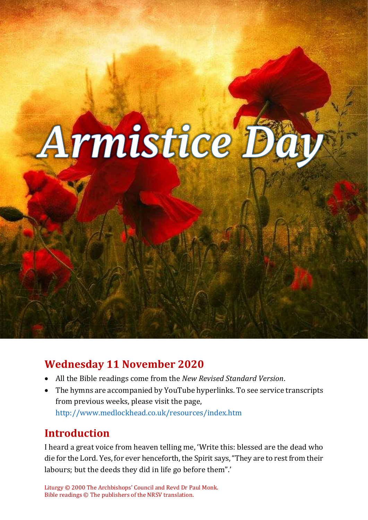

# **Wednesday 11 November 2020**

- All the Bible readings come from the *New Revised Standard Version*.
- The hymns are accompanied by YouTube hyperlinks. To see service transcripts from previous weeks, please visit the page, <http://www.medlockhead.co.uk/resources/index.htm>

# **Introduction**

I heard a great voice from heaven telling me, 'Write this: blessed are the dead who die for the Lord. Yes, for ever henceforth, the Spirit says, "They are to rest from their labours; but the deeds they did in life go before them".'

Liturgy © 2000 The Archbishops' Council and Revd Dr Paul Monk. Bible readings © The publishers of the NRSV translation.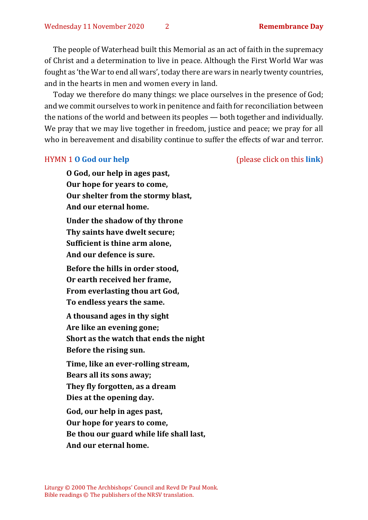The people of Waterhead built this Memorial as an act of faith in the supremacy of Christ and a determination to live in peace. Although the First World War was fought as 'the War to end all wars', today there are wars in nearly twenty countries, and in the hearts in men and women every in land.

Today we therefore do many things: we place ourselves in the presence of God; and we commit ourselves to work in penitence and faith for reconciliation between the nations of the world and between its peoples — both together and individually. We pray that we may live together in freedom, justice and peace; we pray for all who in bereavement and disability continue to suffer the effects of war and terror.

HYMN 1 **[O God our help](https://www.youtube.com/watch?v=ZjdmLstpNGE)** (please click on this **[link](https://www.youtube.com/watch?v=ZjdmLstpNGE)**)

**O God, our help in ages past, Our hope for years to come, Our shelter from the stormy blast, And our eternal home. Under the shadow of thy throne Thy saints have dwelt secure; Sufficient is thine arm alone, And our defence is sure. Before the hills in order stood,**

**Or earth received her frame, From everlasting thou art God, To endless years the same.** 

**A thousand ages in thy sight Are like an evening gone; Short as the watch that ends the night Before the rising sun.** 

**Time, like an ever-rolling stream, Bears all its sons away; They fly forgotten, as a dream Dies at the opening day.**

**God, our help in ages past, Our hope for years to come, Be thou our guard while life shall last, And our eternal home.**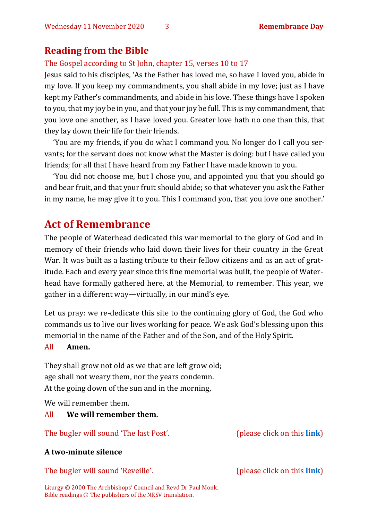## **Reading from the Bible**

The Gospel according to St John, chapter 15, verses 10 to 17

Jesus said to his disciples, 'As the Father has loved me, so have I loved you, abide in my love. If you keep my commandments, you shall abide in my love; just as I have kept my Father's commandments, and abide in his love. These things have I spoken to you, that my joy be in you, and that your joy be full. This is my commandment, that you love one another, as I have loved you. Greater love hath no one than this, that they lay down their life for their friends.

'You are my friends, if you do what I command you. No longer do I call you servants; for the servant does not know what the Master is doing: but I have called you friends; for all that I have heard from my Father I have made known to you.

'You did not choose me, but I chose you, and appointed you that you should go and bear fruit, and that your fruit should abide; so that whatever you ask the Father in my name, he may give it to you. This I command you, that you love one another.'

# **Act of Remembrance**

The people of Waterhead dedicated this war memorial to the glory of God and in memory of their friends who laid down their lives for their country in the Great War. It was built as a lasting tribute to their fellow citizens and as an act of gratitude. Each and every year since this fine memorial was built, the people of Waterhead have formally gathered here, at the Memorial, to remember. This year, we gather in a different way—virtually, in our mind's eye.

Let us pray: we re-dedicate this site to the continuing glory of God, the God who commands us to live our lives working for peace. We ask God's blessing upon this memorial in the name of the Father and of the Son, and of the Holy Spirit.

#### All **Amen.**

They shall grow not old as we that are left grow old; age shall not weary them, nor the years condemn. At the going down of the sun and in the morning,

We will remember them.

## All **We will remember them.**

The bugler will sound 'The last Post'. (please click on this **[link](https://www.youtube.com/watch?v=mDeHMg6gd9g)**)

## **A two-minute silence**

The bugler will sound 'Reveille'. (please click on this **[link](https://www.youtube.com/watch?v=ZHjvdN8K50U)**)

Liturgy © 2000 The Archbishops' Council and Revd Dr Paul Monk. Bible readings © The publishers of the NRSV translation.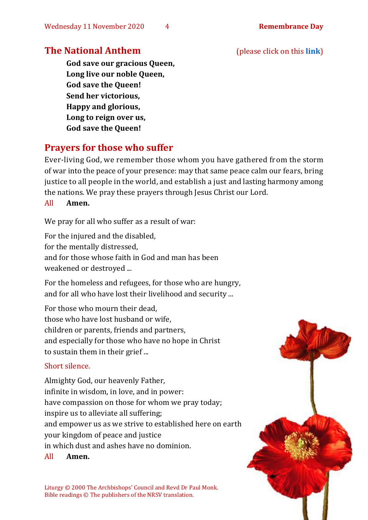## **The National Anthem** (please click on this **[link](https://www.youtube.com/watch?v=Bsz1G6NmLus&feature=youtu.be)**)

**God save our gracious Queen, Long live our noble Queen, God save the Queen! Send her victorious, Happy and glorious, Long to reign over us, God save the Queen!** 

## **Prayers for those who suffer**

Ever-living God, we remember those whom you have gathered from the storm of war into the peace of your presence: may that same peace calm our fears, bring justice to all people in the world, and establish a just and lasting harmony among the nations. We pray these prayers through Jesus Christ our Lord.

#### All **Amen.**

We pray for all who suffer as a result of war:

For the injured and the disabled,

for the mentally distressed,

and for those whose faith in God and man has been weakened or destroyed ...

For the homeless and refugees, for those who are hungry, and for all who have lost their livelihood and security ...

For those who mourn their dead, those who have lost husband or wife, children or parents, friends and partners, and especially for those who have no hope in Christ to sustain them in their grief ...

## Short silence.

Almighty God, our heavenly Father, infinite in wisdom, in love, and in power: have compassion on those for whom we pray today; inspire us to alleviate all suffering; and empower us as we strive to established here on earth your kingdom of peace and justice in which dust and ashes have no dominion.

All **Amen.**

Liturgy © 2000 The Archbishops' Council and Revd Dr Paul Monk. Bible readings © The publishers of the NRSV translation.

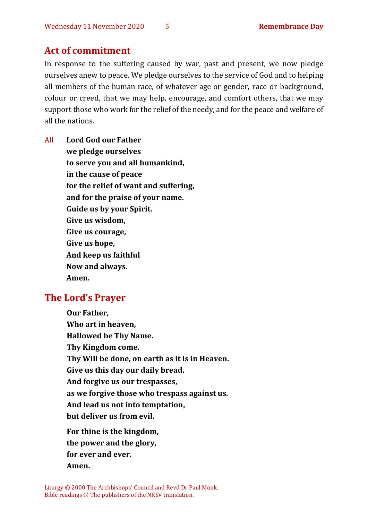## **Act of commitment**

In response to the suffering caused by war, past and present, we now pledge ourselves anew to peace. We pledge ourselves to the service of God and to helping all members of the human race, of whatever age or gender, race or background, colour or creed, that we may help, encourage, and comfort others, that we may support those who work for the relief of the needy, and for the peace and welfare of all the nations.

All **Lord God our Father we pledge ourselves to serve you and all humankind, in the cause of peace for the relief of want and suffering, and for the praise of your name. Guide us by your Spirit. Give us wisdom, Give us courage, Give us hope, And keep us faithful Now and always. Amen.**

## **The Lord's Prayer**

**Our Father, Who art in heaven, Hallowed be Thy Name. Thy Kingdom come. Thy Will be done, on earth as it is in Heaven. Give us this day our daily bread. And forgive us our trespasses, as we forgive those who trespass against us. And lead us not into temptation, but deliver us from evil. For thine is the kingdom, the power and the glory, for ever and ever. Amen.**